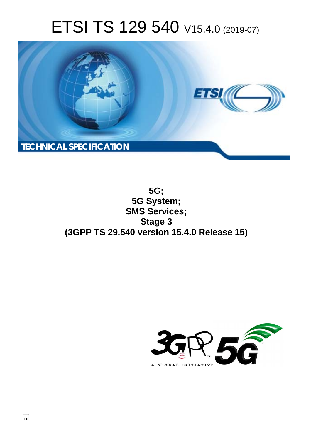# ETSI TS 129 540 V15.4.0 (2019-07)



**5G; 5G System; SMS Services; Stage 3 (3GPP TS 29.540 version 15.4.0 Release 15)** 

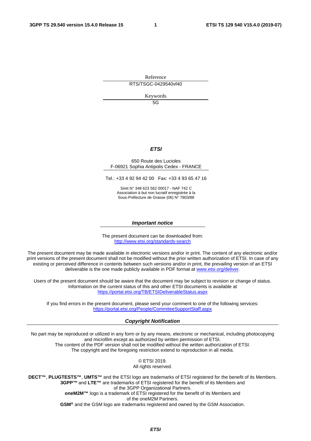Reference

RTS/TSGC-0429540vf40

Keywords

5G

#### *ETSI*

#### 650 Route des Lucioles F-06921 Sophia Antipolis Cedex - FRANCE

Tel.: +33 4 92 94 42 00 Fax: +33 4 93 65 47 16

Siret N° 348 623 562 00017 - NAF 742 C Association à but non lucratif enregistrée à la Sous-Préfecture de Grasse (06) N° 7803/88

#### *Important notice*

The present document can be downloaded from: <http://www.etsi.org/standards-search>

The present document may be made available in electronic versions and/or in print. The content of any electronic and/or print versions of the present document shall not be modified without the prior written authorization of ETSI. In case of any existing or perceived difference in contents between such versions and/or in print, the prevailing version of an ETSI deliverable is the one made publicly available in PDF format at [www.etsi.org/deliver](http://www.etsi.org/deliver).

Users of the present document should be aware that the document may be subject to revision or change of status. Information on the current status of this and other ETSI documents is available at <https://portal.etsi.org/TB/ETSIDeliverableStatus.aspx>

If you find errors in the present document, please send your comment to one of the following services: <https://portal.etsi.org/People/CommiteeSupportStaff.aspx>

#### *Copyright Notification*

No part may be reproduced or utilized in any form or by any means, electronic or mechanical, including photocopying and microfilm except as authorized by written permission of ETSI. The content of the PDF version shall not be modified without the written authorization of ETSI. The copyright and the foregoing restriction extend to reproduction in all media.

> © ETSI 2019. All rights reserved.

**DECT™**, **PLUGTESTS™**, **UMTS™** and the ETSI logo are trademarks of ETSI registered for the benefit of its Members. **3GPP™** and **LTE™** are trademarks of ETSI registered for the benefit of its Members and of the 3GPP Organizational Partners. **oneM2M™** logo is a trademark of ETSI registered for the benefit of its Members and of the oneM2M Partners. **GSM®** and the GSM logo are trademarks registered and owned by the GSM Association.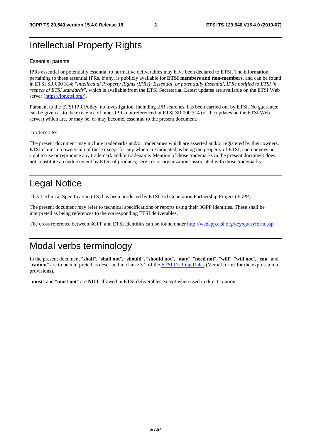## Intellectual Property Rights

#### Essential patents

IPRs essential or potentially essential to normative deliverables may have been declared to ETSI. The information pertaining to these essential IPRs, if any, is publicly available for **ETSI members and non-members**, and can be found in ETSI SR 000 314: *"Intellectual Property Rights (IPRs); Essential, or potentially Essential, IPRs notified to ETSI in respect of ETSI standards"*, which is available from the ETSI Secretariat. Latest updates are available on the ETSI Web server ([https://ipr.etsi.org/\)](https://ipr.etsi.org/).

Pursuant to the ETSI IPR Policy, no investigation, including IPR searches, has been carried out by ETSI. No guarantee can be given as to the existence of other IPRs not referenced in ETSI SR 000 314 (or the updates on the ETSI Web server) which are, or may be, or may become, essential to the present document.

#### **Trademarks**

The present document may include trademarks and/or tradenames which are asserted and/or registered by their owners. ETSI claims no ownership of these except for any which are indicated as being the property of ETSI, and conveys no right to use or reproduce any trademark and/or tradename. Mention of those trademarks in the present document does not constitute an endorsement by ETSI of products, services or organizations associated with those trademarks.

## Legal Notice

This Technical Specification (TS) has been produced by ETSI 3rd Generation Partnership Project (3GPP).

The present document may refer to technical specifications or reports using their 3GPP identities. These shall be interpreted as being references to the corresponding ETSI deliverables.

The cross reference between 3GPP and ETSI identities can be found under<http://webapp.etsi.org/key/queryform.asp>.

## Modal verbs terminology

In the present document "**shall**", "**shall not**", "**should**", "**should not**", "**may**", "**need not**", "**will**", "**will not**", "**can**" and "**cannot**" are to be interpreted as described in clause 3.2 of the [ETSI Drafting Rules](https://portal.etsi.org/Services/editHelp!/Howtostart/ETSIDraftingRules.aspx) (Verbal forms for the expression of provisions).

"**must**" and "**must not**" are **NOT** allowed in ETSI deliverables except when used in direct citation.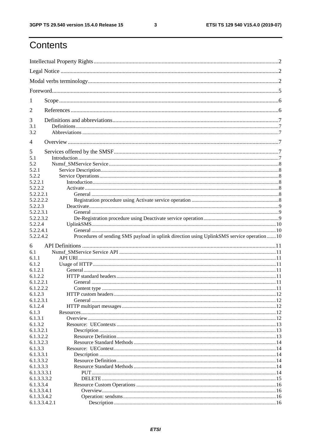$\mathbf{3}$ 

## Contents

| 1              |                                                                                           |  |
|----------------|-------------------------------------------------------------------------------------------|--|
| 2              |                                                                                           |  |
| 3              |                                                                                           |  |
| 3.1            |                                                                                           |  |
| 3.2            |                                                                                           |  |
| $\overline{4}$ |                                                                                           |  |
| 5<br>5.1       |                                                                                           |  |
|                |                                                                                           |  |
| 5.2            |                                                                                           |  |
| 5.2.1          |                                                                                           |  |
| 5.2.2          |                                                                                           |  |
| 5.2.2.1        |                                                                                           |  |
| 5.2.2.2        |                                                                                           |  |
| 5.2.2.2.1      |                                                                                           |  |
| 5.2.2.2.2      |                                                                                           |  |
| 5.2.2.3        |                                                                                           |  |
| 5.2.2.3.1      |                                                                                           |  |
| 5.2.2.3.2      |                                                                                           |  |
| 5.2.2.4        |                                                                                           |  |
|                |                                                                                           |  |
| 5.2.2.4.1      |                                                                                           |  |
|                |                                                                                           |  |
| 5.2.2.4.2      | Procedures of sending SMS payload in uplink direction using UplinkSMS service operation10 |  |
| 6              |                                                                                           |  |
| 6.1            |                                                                                           |  |
| 6.1.1          |                                                                                           |  |
| 6.1.2          |                                                                                           |  |
|                |                                                                                           |  |
| 6.1.2.1        |                                                                                           |  |
| 6.1.2.2        |                                                                                           |  |
| 6.1.2.2.1      |                                                                                           |  |
| 6.1.2.2.2      |                                                                                           |  |
| 6.1.2.3        |                                                                                           |  |
| 6.1.2.3.1      |                                                                                           |  |
| 6.1.2.4        |                                                                                           |  |
| 6.1.3          |                                                                                           |  |
| 6.1.3.1        |                                                                                           |  |
| 6.1.3.2        |                                                                                           |  |
| 6.1.3.2.1      |                                                                                           |  |
|                |                                                                                           |  |
| 6.1.3.2.2      |                                                                                           |  |
| 6.1.3.2.3      |                                                                                           |  |
| 6.1.3.3        |                                                                                           |  |
| 6.1.3.3.1      |                                                                                           |  |
| 6.1.3.3.2      |                                                                                           |  |
| 6.1.3.3.3      |                                                                                           |  |
| 6.1.3.3.3.1    |                                                                                           |  |
| 6.1.3.3.3.2    |                                                                                           |  |
| 6.1.3.3.4      |                                                                                           |  |
| 6.1.3.3.4.1    |                                                                                           |  |
| 6.1.3.3.4.2    |                                                                                           |  |
| 6.1.3.3.4.2.1  |                                                                                           |  |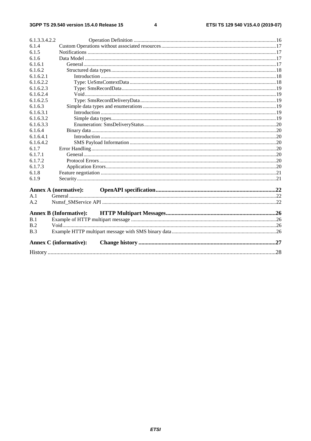#### $\overline{\mathbf{4}}$

| 6.1.3.3.4.2.2 |                               |  |  |  |
|---------------|-------------------------------|--|--|--|
| 6.1.4         |                               |  |  |  |
| 6.1.5         |                               |  |  |  |
| 6.1.6         |                               |  |  |  |
| 6.1.6.1       |                               |  |  |  |
| 6.1.6.2       |                               |  |  |  |
| 6.1.6.2.1     |                               |  |  |  |
| 6.1.6.2.2     |                               |  |  |  |
| 6.1.6.2.3     |                               |  |  |  |
| 6.1.6.2.4     |                               |  |  |  |
| 6.1.6.2.5     |                               |  |  |  |
| 6.1.6.3       |                               |  |  |  |
| 6.1.6.3.1     |                               |  |  |  |
| 6.1.6.3.2     |                               |  |  |  |
| 6.1.6.3.3     |                               |  |  |  |
| 6.1.6.4       |                               |  |  |  |
| 6.1.6.4.1     |                               |  |  |  |
| 6.1.6.4.2     |                               |  |  |  |
| 6.1.7         |                               |  |  |  |
| 6.1.7.1       |                               |  |  |  |
| 6.1.7.2       |                               |  |  |  |
| 6.1.7.3       |                               |  |  |  |
| 6.1.8         |                               |  |  |  |
| 6.1.9         |                               |  |  |  |
|               | <b>Annex A (normative):</b>   |  |  |  |
| A.1           |                               |  |  |  |
| A.2           |                               |  |  |  |
|               |                               |  |  |  |
|               | <b>Annex B (Informative):</b> |  |  |  |
| B.1           |                               |  |  |  |
| B.2           |                               |  |  |  |
| B.3           |                               |  |  |  |
|               | <b>Annex C</b> (informative): |  |  |  |
|               |                               |  |  |  |
|               |                               |  |  |  |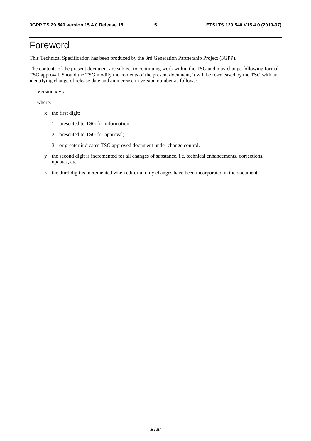## Foreword

This Technical Specification has been produced by the 3rd Generation Partnership Project (3GPP).

The contents of the present document are subject to continuing work within the TSG and may change following formal TSG approval. Should the TSG modify the contents of the present document, it will be re-released by the TSG with an identifying change of release date and an increase in version number as follows:

Version x.y.z

where:

- x the first digit:
	- 1 presented to TSG for information;
	- 2 presented to TSG for approval;
	- 3 or greater indicates TSG approved document under change control.
- y the second digit is incremented for all changes of substance, i.e. technical enhancements, corrections, updates, etc.
- z the third digit is incremented when editorial only changes have been incorporated in the document.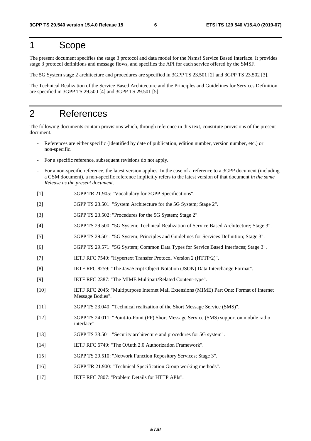## 1 Scope

The present document specifies the stage 3 protocol and data model for the Nsmsf Service Based Interface. It provides stage 3 protocol definitions and message flows, and specifies the API for each service offered by the SMSF.

The 5G System stage 2 architecture and procedures are specified in 3GPP TS 23.501 [2] and 3GPP TS 23.502 [3].

The Technical Realization of the Service Based Architecture and the Principles and Guidelines for Services Definition are specified in 3GPP TS 29.500 [4] and 3GPP TS 29.501 [5].

## 2 References

The following documents contain provisions which, through reference in this text, constitute provisions of the present document.

- References are either specific (identified by date of publication, edition number, version number, etc.) or non-specific.
- For a specific reference, subsequent revisions do not apply.
- For a non-specific reference, the latest version applies. In the case of a reference to a 3GPP document (including a GSM document), a non-specific reference implicitly refers to the latest version of that document *in the same Release as the present document*.
- [1] 3GPP TR 21.905: "Vocabulary for 3GPP Specifications".
- [2] 3GPP TS 23.501: "System Architecture for the 5G System; Stage 2".
- [3] 3GPP TS 23.502: "Procedures for the 5G System; Stage 2".
- [4] 3GPP TS 29.500: "5G System; Technical Realization of Service Based Architecture; Stage 3".
- [5] 3GPP TS 29.501: "5G System; Principles and Guidelines for Services Definition; Stage 3".
- [6] 3GPP TS 29.571: "5G System; Common Data Types for Service Based Interfaces; Stage 3".
- [7] IETF RFC 7540: "Hypertext Transfer Protocol Version 2 (HTTP/2)".
- [8] IETF RFC 8259: "The JavaScript Object Notation (JSON) Data Interchange Format".
- [9] IETF RFC 2387: "The MIME Multipart/Related Content-type".
- [10] IETF RFC 2045: "Multipurpose Internet Mail Extensions (MIME) Part One: Format of Internet Message Bodies".
- [11] 3GPP TS 23.040: "Technical realization of the Short Message Service (SMS)".
- [12] 3GPP TS 24.011: "Point-to-Point (PP) Short Message Service (SMS) support on mobile radio interface".
- [13] 3GPP TS 33.501: "Security architecture and procedures for 5G system".
- [14] IETF RFC 6749: "The OAuth 2.0 Authorization Framework".
- [15] 3GPP TS 29.510: "Network Function Repository Services; Stage 3".
- [16] 3GPP TR 21.900: "Technical Specification Group working methods".
- [17] IETF RFC 7807: "Problem Details for HTTP APIs".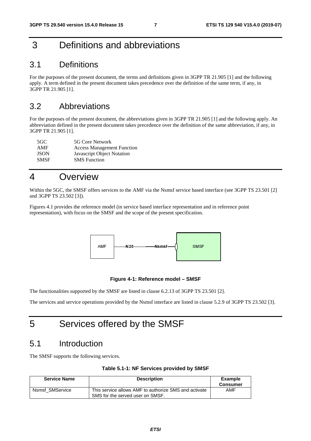## 3 Definitions and abbreviations

### 3.1 Definitions

For the purposes of the present document, the terms and definitions given in 3GPP TR 21.905 [1] and the following apply. A term defined in the present document takes precedence over the definition of the same term, if any, in 3GPP TR 21.905 [1].

### 3.2 Abbreviations

For the purposes of the present document, the abbreviations given in 3GPP TR 21.905 [1] and the following apply. An abbreviation defined in the present document takes precedence over the definition of the same abbreviation, if any, in 3GPP TR 21.905 [1].

| 5GC.        | 5G Core Network                   |
|-------------|-----------------------------------|
| AMF         | <b>Access Management Function</b> |
| <b>JSON</b> | Javascript Object Notation        |
| <b>SMSF</b> | <b>SMS</b> Function               |

## 4 Overview

Within the 5GC, the SMSF offers services to the AMF via the Nsmsf service based interface (see 3GPP TS 23.501 [2] and 3GPP TS 23.502 [3]).

Figures 4.1 provides the reference model (in service based interface representation and in reference point representation), with focus on the SMSF and the scope of the present specification.



#### **Figure 4-1: Reference model – SMSF**

The functionalities supported by the SMSF are listed in clause 6.2.13 of 3GPP TS 23.501 [2].

The services and service operations provided by the Nsmsf interface are listed in clause 5.2.9 of 3GPP TS 23.502 [3].

## 5 Services offered by the SMSF

### 5.1 Introduction

The SMSF supports the following services.

| Table 5.1-1: NF Services provided by SMSF |  |  |  |
|-------------------------------------------|--|--|--|
|-------------------------------------------|--|--|--|

| <b>Service Name</b> | <b>Description</b>                                                                        | Example<br><b>Consumer</b> |
|---------------------|-------------------------------------------------------------------------------------------|----------------------------|
| Nsmsf SMService     | This service allows AMF to authorize SMS and activate<br>SMS for the served user on SMSF. | AMF                        |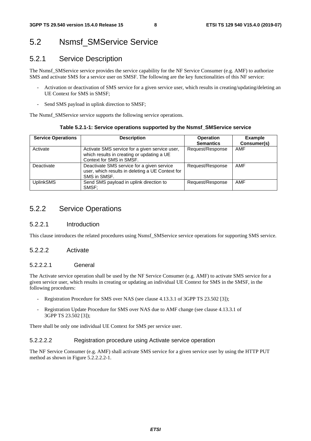## 5.2 Nsmsf\_SMService Service

### 5.2.1 Service Description

The Nsmsf\_SMService service provides the service capability for the NF Service Consumer (e.g. AMF) to authorize SMS and activate SMS for a service user on SMSF. The following are the key functionalities of this NF service:

- Activation or deactivation of SMS service for a given service user, which results in creating/updating/deleting an UE Context for SMS in SMSF;
- Send SMS payload in uplink direction to SMSF;

The Nsmsf SMService service supports the following service operations.

**Table 5.2.1-1: Service operations supported by the Nsmsf\_SMService service** 

| <b>Service Operations</b><br><b>Description</b> |                                                  | <b>Operation</b> | <b>Example</b> |  |
|-------------------------------------------------|--------------------------------------------------|------------------|----------------|--|
|                                                 |                                                  | <b>Semantics</b> | Consumer(s)    |  |
| Activate                                        | Activate SMS service for a given service user,   | Request/Response | <b>AMF</b>     |  |
|                                                 | which results in creating or updating a UE       |                  |                |  |
|                                                 | Context for SMS in SMSF.                         |                  |                |  |
| Deactivate                                      | Deactivate SMS service for a given service       | Request/Response | <b>AMF</b>     |  |
|                                                 | user, which results in deleting a UE Context for |                  |                |  |
|                                                 | SMS in SMSF.                                     |                  |                |  |
| <b>UplinkSMS</b>                                | Send SMS payload in uplink direction to          | Request/Response | <b>AMF</b>     |  |
|                                                 | SMSF:                                            |                  |                |  |

### 5.2.2 Service Operations

#### 5.2.2.1 Introduction

This clause introduces the related procedures using Nsmsf\_SMService service operations for supporting SMS service.

#### 5.2.2.2 Activate

#### 5.2.2.2.1 General

The Activate service operation shall be used by the NF Service Consumer (e.g. AMF) to activate SMS service for a given service user, which results in creating or updating an individual UE Context for SMS in the SMSF, in the following procedures:

- Registration Procedure for SMS over NAS (see clause 4.13.3.1 of 3GPP TS 23.502 [3]);
- Registration Update Procedure for SMS over NAS due to AMF change (see clause 4.13.3.1 of 3GPP TS 23.502 [3]);

There shall be only one individual UE Context for SMS per service user.

#### 5.2.2.2.2 Registration procedure using Activate service operation

The NF Service Consumer (e.g. AMF) shall activate SMS service for a given service user by using the HTTP PUT method as shown in Figure 5.2.2.2.2-1.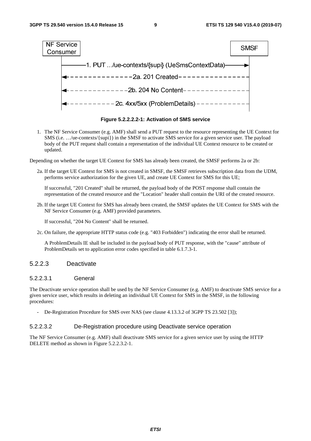

**Figure 5.2.2.2.2-1: Activation of SMS service** 

1. The NF Service Consumer (e.g. AMF) shall send a PUT request to the resource representing the UE Context for SMS (i.e. …/ue-contexts/{supi}) in the SMSF to activate SMS service for a given service user. The payload body of the PUT request shall contain a representation of the individual UE Context resource to be created or updated.

Depending on whether the target UE Context for SMS has already been created, the SMSF performs 2a or 2b:

2a. If the target UE Context for SMS is not created in SMSF, the SMSF retrieves subscription data from the UDM, performs service authorization for the given UE, and create UE Context for SMS for this UE;

If successful, "201 Created" shall be returned, the payload body of the POST response shall contain the representation of the created resource and the "Location" header shall contain the URI of the created resource.

2b. If the target UE Context for SMS has already been created, the SMSF updates the UE Context for SMS with the NF Service Consumer (e.g. AMF) provided parameters.

If successful, "204 No Content" shall be returned.

2c. On failure, the appropriate HTTP status code (e.g. "403 Forbidden") indicating the error shall be returned.

 A ProblemDetails IE shall be included in the payload body of PUT response, with the "cause" attribute of ProblemDetails set to application error codes specified in table 6.1.7.3-1.

#### 5.2.2.3 Deactivate

#### 5.2.2.3.1 General

The Deactivate service operation shall be used by the NF Service Consumer (e.g. AMF) to deactivate SMS service for a given service user, which results in deleting an individual UE Context for SMS in the SMSF, in the following procedures:

- De-Registration Procedure for SMS over NAS (see clause 4.13.3.2 of 3GPP TS 23.502 [3]);

#### 5.2.2.3.2 De-Registration procedure using Deactivate service operation

The NF Service Consumer (e.g. AMF) shall deactivate SMS service for a given service user by using the HTTP DELETE method as shown in Figure 5.2.2.3.2-1.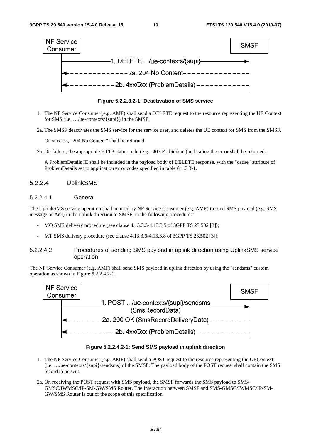

**Figure 5.2.2.3.2-1: Deactivation of SMS service** 

- 1. The NF Service Consumer (e.g. AMF) shall send a DELETE request to the resource representing the UE Context for SMS (i.e. …/ue-contexts/{supi}) in the SMSF.
- 2a. The SMSF deactivates the SMS service for the service user, and deletes the UE context for SMS from the SMSF.

On success, "204 No Content" shall be returned.

2b. On failure, the appropriate HTTP status code (e.g. "403 Forbidden") indicating the error shall be returned.

 A ProblemDetails IE shall be included in the payload body of DELETE response, with the "cause" attribute of ProblemDetails set to application error codes specified in table 6.1.7.3-1.

#### 5.2.2.4 UplinkSMS

#### 5.2.2.4.1 General

The UplinkSMS service operation shall be used by NF Service Consumer (e.g. AMF) to send SMS payload (e.g. SMS message or Ack) in the uplink direction to SMSF, in the following procedures:

- MO SMS delivery procedure (see clause 4.13.3.3-4.13.3.5 of 3GPP TS 23.502 [3]);
- MT SMS delivery procedure (see clause 4.13.3.6-4.13.3.8 of 3GPP TS 23.502 [3]);

#### 5.2.2.4.2 Procedures of sending SMS payload in uplink direction using UplinkSMS service operation

The NF Service Consumer (e.g. AMF) shall send SMS payload in uplink direction by using the "sendsms" custom operation as shown in Figure 5.2.2.4.2-1.



**Figure 5.2.2.4.2-1: Send SMS payload in uplink direction** 

- 1. The NF Service Consumer (e.g. AMF) shall send a POST request to the resource representing the UEContext (i.e. …/ue-contexts/{supi}/sendsms) of the SMSF. The payload body of the POST request shall contain the SMS record to be sent.
- 2a. On receiving the POST request with SMS payload, the SMSF forwards the SMS payload to SMS-GMSC/IWMSC/IP-SM-GW/SMS Router. The interaction between SMSF and SMS-GMSC/IWMSC/IP-SM-GW/SMS Router is out of the scope of this specification.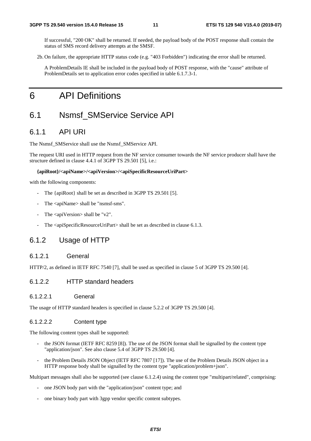If successful, "200 OK" shall be returned. If needed, the payload body of the POST response shall contain the status of SMS record delivery attempts at the SMSF.

2b. On failure, the appropriate HTTP status code (e.g. "403 Forbidden") indicating the error shall be returned.

 A ProblemDetails IE shall be included in the payload body of POST response, with the "cause" attribute of ProblemDetails set to application error codes specified in table 6.1.7.3-1.

## 6 API Definitions

### 6.1 Nsmsf\_SMService Service API

### 6.1.1 API URI

The Nsmsf\_SMService shall use the Nsmsf\_SMService API.

The request URI used in HTTP request from the NF service consumer towards the NF service producer shall have the structure defined in clause 4.4.1 of 3GPP TS 29.501 [5], i.e.:

#### **{apiRoot}/<apiName>/<apiVersion>/<apiSpecificResourceUriPart>**

with the following components:

- The {apiRoot} shall be set as described in 3GPP TS 29.501 [5].
- The <apiName> shall be "nsmsf-sms".
- The  $\langle$ apiVersion $>$ shall be "v2".
- The <apiSpecificResourceUriPart> shall be set as described in clause 6.1.3.

### 6.1.2 Usage of HTTP

#### 6.1.2.1 General

HTTP/2, as defined in IETF RFC 7540 [7], shall be used as specified in clause 5 of 3GPP TS 29.500 [4].

#### 6.1.2.2 HTTP standard headers

#### 6.1.2.2.1 General

The usage of HTTP standard headers is specified in clause 5.2.2 of 3GPP TS 29.500 [4].

#### 6.1.2.2.2 Content type

The following content types shall be supported:

- the JSON format (IETF RFC 8259 [8]). The use of the JSON format shall be signalled by the content type "application/json". See also clause 5.4 of 3GPP TS 29.500 [4].
- the Problem Details JSON Object (IETF RFC 7807 [17]). The use of the Problem Details JSON object in a HTTP response body shall be signalled by the content type "application/problem+json".

Multipart messages shall also be supported (see clause 6.1.2.4) using the content type "multipart/related", comprising:

- one JSON body part with the "application/json" content type; and
- one binary body part with 3gpp vendor specific content subtypes.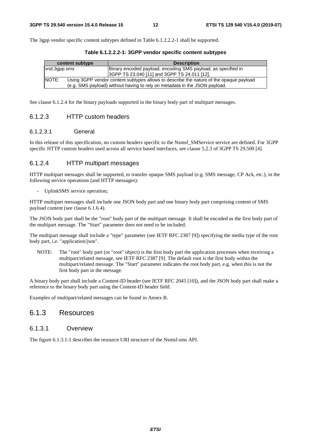The 3gpp vendor specific content subtypes defined in Table 6.1.2.2.2-1 shall be supported.

| content subtype | <b>Description</b>                                                                                                                                                   |  |
|-----------------|----------------------------------------------------------------------------------------------------------------------------------------------------------------------|--|
| vnd.3qpp.sms    | Binary encoded payload, encoding SMS payload, as specified in                                                                                                        |  |
|                 | 3GPP TS 23.040 [11] and 3GPP TS 24.011 [12].                                                                                                                         |  |
| INOTE:          | Using 3GPP vendor content subtypes allows to describe the nature of the opaque payload<br>(e.g. SMS payload) without having to rely on metadata in the JSON payload. |  |

**Table 6.1.2.2.2-1: 3GPP vendor specific content subtypes** 

See clause 6.1.2.4 for the binary payloads supported in the binary body part of multipart messages.

#### 6.1.2.3 HTTP custom headers

#### 6.1.2.3.1 General

In this release of this specification, no custom headers specific to the Nsmsf SMService service are defined. For 3GPP specific HTTP custom headers used across all service based interfaces, see clause 5.2.3 of 3GPP TS 29.500 [4].

#### 6.1.2.4 HTTP multipart messages

HTTP multipart messages shall be supported, to transfer opaque SMS payload (e.g. SMS message, CP Ack, etc.), in the following service operations (and HTTP messages):

- UplinkSMS service operation;

HTTP multipart messages shall include one JSON body part and one binary body part comprising content of SMS payload content (see clause 6.1.6.4).

The JSON body part shall be the "root" body part of the multipart message. It shall be encoded as the first body part of the multipart message. The "Start" parameter does not need to be included.

The multipart message shall include a "type" parameter (see IETF RFC 2387 [9]) specifying the media type of the root body part, i.e. "application/json".

NOTE: The "root" body part (or "root" object) is the first body part the application processes when receiving a multipart/related message, see IETF RFC 2387 [9]. The default root is the first body within the multipart/related message. The "Start" parameter indicates the root body part, e.g. when this is not the first body part in the message.

A binary body part shall include a Content-ID header (see IETF RFC 2045 [10]), and the JSON body part shall make a reference to the binary body part using the Content-ID header field.

Examples of multipart/related messages can be found in Annex B.

### 6.1.3 Resources

#### 6.1.3.1 Overview

The figure 6.1.3.1-1 describes the resource URI structure of the Nsmsf-sms API.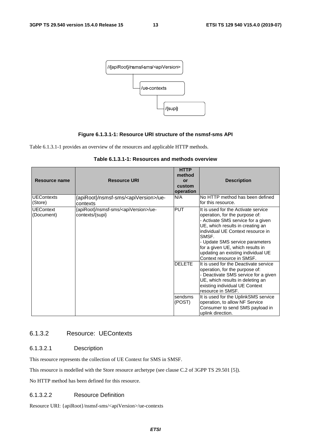

#### **Figure 6.1.3.1-1: Resource URI structure of the nsmsf-sms API**

Table 6.1.3.1-1 provides an overview of the resources and applicable HTTP methods.

| Resource name                                     | <b>Resource URI</b>                                             | <b>HTTP</b><br>method<br>or<br>custom<br>operation | <b>Description</b>                                                                                                                                                                                                                                                                                                                      |
|---------------------------------------------------|-----------------------------------------------------------------|----------------------------------------------------|-----------------------------------------------------------------------------------------------------------------------------------------------------------------------------------------------------------------------------------------------------------------------------------------------------------------------------------------|
| <b>UEContexts</b><br>(Store)                      | {apiRoot}/nsmsf-sms/ <apiversion>/ue-<br/>contexts</apiversion> | N/A                                                | No HTTP method has been defined<br>for this resource.                                                                                                                                                                                                                                                                                   |
| <b>UEContext</b><br>contexts/{supi}<br>(Document) | {apiRoot}/nsmsf-sms/ <apiversion>/ue-</apiversion>              | <b>PUT</b>                                         | It is used for the Activate service<br>operation, for the purpose of:<br>- Activate SMS service for a given<br>UE, which results in creating an<br>individual UE Context resource in<br>SMSF.<br>- Update SMS service parameters<br>for a given UE, which results in<br>updating an existing individual UE<br>Context resource in SMSF. |
|                                                   |                                                                 | <b>DELETE</b>                                      | It is used for the Deactivate service<br>operation, for the purpose of:<br>- Deactivate SMS service for a given<br>UE, which results in deleting an<br>existing individual UE Context<br>resource in SMSF.                                                                                                                              |
|                                                   |                                                                 | sendsms<br>(POST)                                  | It is used for the UplinkSMS service<br>operation, to allow NF Service<br>Consumer to send SMS payload in<br>uplink direction.                                                                                                                                                                                                          |

| Table 6.1.3.1-1: Resources and methods overview |
|-------------------------------------------------|
|-------------------------------------------------|

### 6.1.3.2 Resource: UEContexts

#### 6.1.3.2.1 Description

This resource represents the collection of UE Context for SMS in SMSF.

This resource is modelled with the Store resource archetype (see clause C.2 of 3GPP TS 29.501 [5]).

No HTTP method has been defined for this resource.

#### 6.1.3.2.2 Resource Definition

Resource URI: {apiRoot}/nsmsf-sms/<apiVersion>/ue-contexts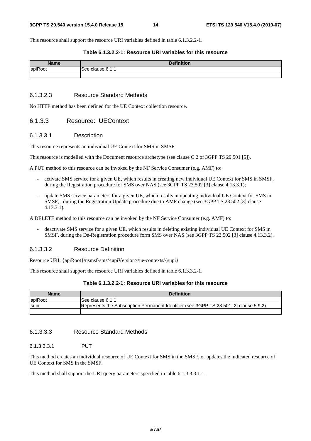This resource shall support the resource URI variables defined in table 6.1.3.2.2-1.

#### **Table 6.1.3.2.2-1: Resource URI variables for this resource**

| <b>Namo</b>     | <b>Definition</b>                             |  |
|-----------------|-----------------------------------------------|--|
| laniPool<br>ιuν | $^{\circ}6.1$<br>ممي<br>$\sim$<br>u.a<br>- הג |  |
|                 |                                               |  |

#### 6.1.3.2.3 Resource Standard Methods

No HTTP method has been defined for the UE Context collection resource.

#### 6.1.3.3 Resource: UEContext

#### 6.1.3.3.1 Description

This resource represents an individual UE Context for SMS in SMSF.

This resource is modelled with the Document resource archetype (see clause C.2 of 3GPP TS 29.501 [5]).

A PUT method to this resource can be invoked by the NF Service Consumer (e.g. AMF) to:

- activate SMS service for a given UE, which results in creating new individual UE Context for SMS in SMSF, during the Registration procedure for SMS over NAS (see 3GPP TS 23.502 [3] clause 4.13.3.1);
- update SMS service parameters for a given UE, which results in updating individual UE Context for SMS in SMSF, , during the Registration Update procedure due to AMF change (see 3GPP TS 23.502 [3] clause 4.13.3.1).

A DELETE method to this resource can be invoked by the NF Service Consumer (e.g. AMF) to:

- deactivate SMS service for a given UE, which results in deleting existing individual UE Context for SMS in SMSF, during the De-Registration procedure form SMS over NAS (see 3GPP TS 23.502 [3] clause 4.13.3.2).

#### 6.1.3.3.2 Resource Definition

Resource URI: {apiRoot}/nsmsf-sms/<apiVersion>/ue-contexts/{supi}

This resource shall support the resource URI variables defined in table 6.1.3.3.2-1.

#### **Table 6.1.3.2.2-1: Resource URI variables for this resource**

| <b>Name</b> | <b>Definition</b>                                                                      |
|-------------|----------------------------------------------------------------------------------------|
| apiRoot     | See clause 6.1.1                                                                       |
| <b>Supi</b> | Represents the Subscription Permanent Identifier (see 3GPP TS 23.501 [2] clause 5.9.2) |
|             |                                                                                        |

#### 6.1.3.3.3 Resource Standard Methods

#### 6.1.3.3.3.1 PUT

This method creates an individual resource of UE Context for SMS in the SMSF, or updates the indicated resource of UE Context for SMS in the SMSF.

This method shall support the URI query parameters specified in table 6.1.3.3.3.1-1.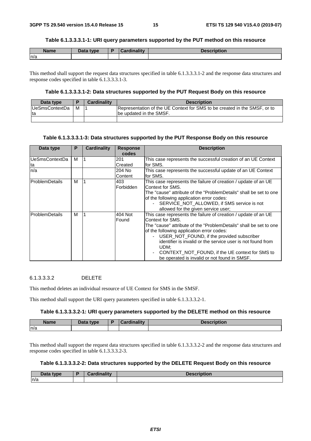#### **Table 6.1.3.3.3.1-1: URI query parameters supported by the PUT method on this resource**

| <b>Name</b> | Data type | Cardinality | <b>Description</b> |
|-------------|-----------|-------------|--------------------|
| n/a         |           |             |                    |

This method shall support the request data structures specified in table 6.1.3.3.3.1-2 and the response data structures and response codes specified in table 6.1.3.3.3.1-3.

#### **Table 6.1.3.3.3.1-2: Data structures supported by the PUT Request Body on this resource**

| Data type              |   | <b>Cardinality</b> | <b>Description</b>                                                        |
|------------------------|---|--------------------|---------------------------------------------------------------------------|
| <b>IUeSmsContextDa</b> | M |                    | Representation of the UE Context for SMS to be created in the SMSF, or to |
| Ita                    |   |                    | be updated in the SMSF.                                                   |
|                        |   |                    |                                                                           |

#### **Table 6.1.3.3.3.1-3: Data structures supported by the PUT Response Body on this resource**

| Data type             | P | <b>Cardinality</b> | <b>Response</b> | <b>Description</b>                                                |
|-----------------------|---|--------------------|-----------------|-------------------------------------------------------------------|
|                       |   |                    | codes           |                                                                   |
| UeSmsContextDa        | M |                    | 201             | This case represents the successful creation of an UE Context     |
| ta                    |   |                    | Created         | for SMS.                                                          |
| n/a                   |   |                    | 204 No          | This case represents the successful update of an UE Context       |
|                       |   |                    | Content         | for SMS.                                                          |
| ProblemDetails        | м |                    | 403             | This case represents the failure of creation / update of an UE    |
|                       |   |                    | Forbidden       | Context for SMS.                                                  |
|                       |   |                    |                 | The "cause" attribute of the "ProblemDetails" shall be set to one |
|                       |   |                    |                 | of the following application error codes:                         |
|                       |   |                    |                 | - SERVICE NOT ALLOWED, if SMS service is not                      |
|                       |   |                    |                 | allowed for the given service user;                               |
| <b>ProblemDetails</b> | м |                    | 404 Not         | This case represents the failure of creation / update of an UE    |
|                       |   |                    | Found           | Context for SMS.                                                  |
|                       |   |                    |                 | The "cause" attribute of the "ProblemDetails" shall be set to one |
|                       |   |                    |                 | of the following application error codes:                         |
|                       |   |                    |                 | USER NOT FOUND, if the provided subscriber<br>$\sim 100$          |
|                       |   |                    |                 | identifier is invalid or the service user is not found from       |
|                       |   |                    |                 | UDM;                                                              |
|                       |   |                    |                 | CONTEXT_NOT_FOUND, if the UE context for SMS to                   |
|                       |   |                    |                 | be operated is invalid or not found in SMSF.                      |

#### 6.1.3.3.3.2 DELETE

This method deletes an individual resource of UE Context for SMS in the SMSF.

This method shall support the URI query parameters specified in table 6.1.3.3.3.2-1.

#### **Table 6.1.3.3.3.2-1: URI query parameters supported by the DELETE method on this resource**

| <b>Name</b> | Data type | <b>Cardinality</b> | <b>Description</b> |
|-------------|-----------|--------------------|--------------------|
| n/a         |           |                    |                    |
|             |           |                    |                    |

This method shall support the request data structures specified in table 6.1.3.3.3.2-2 and the response data structures and response codes specified in table 6.1.3.3.3.2-3.

#### **Table 6.1.3.3.3.2-2: Data structures supported by the DELETE Request Body on this resource**

| Data type | Cardinalitv | <b>Description</b> |
|-----------|-------------|--------------------|
| n/a       |             |                    |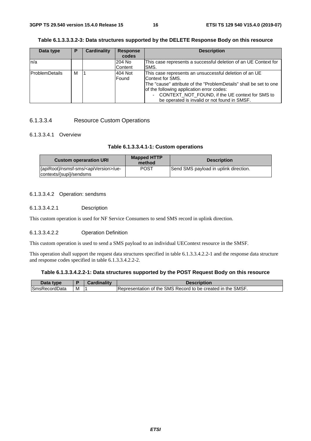#### **Table 6.1.3.3.3.2-3: Data structures supported by the DELETE Response Body on this resource**

| Data type             | Р | <b>Cardinality</b> | <b>Response</b> | <b>Description</b>                                                |
|-----------------------|---|--------------------|-----------------|-------------------------------------------------------------------|
|                       |   |                    | codes           |                                                                   |
| n/a                   |   |                    | 204 No          | This case represents a successful deletion of an UE Context for   |
|                       |   |                    | Content         | SMS.                                                              |
| <b>ProblemDetails</b> | м |                    | 404 Not         | This case represents an unsuccessful deletion of an UE            |
|                       |   |                    | Found           | Context for SMS.                                                  |
|                       |   |                    |                 | The "cause" attribute of the "ProblemDetails" shall be set to one |
|                       |   |                    |                 | of the following application error codes:                         |
|                       |   |                    |                 | CONTEXT_NOT_FOUND, if the UE context for SMS to                   |
|                       |   |                    |                 | be operated is invalid or not found in SMSF.                      |

#### 6.1.3.3.4 Resource Custom Operations

#### 6.1.3.3.4.1 Overview

#### **Table 6.1.3.3.4.1-1: Custom operations**

| <b>Custom operaration URI</b>                                                  | <b>Mapped HTTP</b><br>method | <b>Description</b>                    |
|--------------------------------------------------------------------------------|------------------------------|---------------------------------------|
| {apiRoot}/nsmsf-sms/ <apiversion>/ue-<br/>contexts/{supi}/sendsms</apiversion> | POST                         | Send SMS payload in uplink direction. |

#### 6.1.3.3.4.2 Operation: sendsms

#### 6.1.3.3.4.2.1 Description

This custom operation is used for NF Service Consumers to send SMS record in uplink direction.

#### 6.1.3.3.4.2.2 Operation Definition

This custom operation is used to send a SMS payload to an individual UEContext resource in the SMSF.

This operation shall support the request data structures specified in table 6.1.3.3.4.2.2-1 and the response data structure and response codes specified in table 6.1.3.3.4.2.2-2.

#### **Table 6.1.3.3.4.2.2-1: Data structures supported by the POST Request Body on this resource**

| Data type            |   | <b>THE R</b> | <b>Description</b>                                          |
|----------------------|---|--------------|-------------------------------------------------------------|
| <b>SmsRecordData</b> | м |              | Representation of the SMS Record to be created in the SMSF. |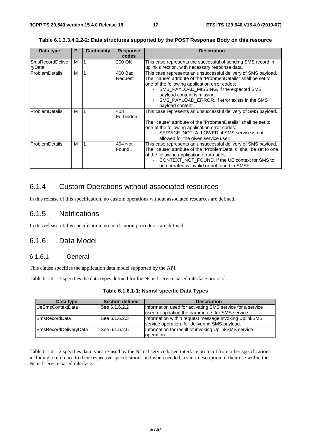|  | Table 6.1.3.3.4.2.2-2: Data structures supported by the POST Response Body on this resource |  |  |  |
|--|---------------------------------------------------------------------------------------------|--|--|--|
|--|---------------------------------------------------------------------------------------------|--|--|--|

| Data type                        | P | <b>Cardinality</b> | <b>Response</b><br>codes | <b>Description</b>                                                                                                                                                                                                                                                                                                              |
|----------------------------------|---|--------------------|--------------------------|---------------------------------------------------------------------------------------------------------------------------------------------------------------------------------------------------------------------------------------------------------------------------------------------------------------------------------|
| <b>SmsRecordDelive</b><br>ryData | м |                    | 200 OK                   | This case represents the successful of sending SMS record in<br>uplink direction, with necessary response data.                                                                                                                                                                                                                 |
| <b>ProblemDetails</b>            | м |                    | 400 Bad<br>Request       | This case represents an unsuccessful delivery of SMS payload.<br>The "cause" attribute of the "ProbmenDetails" shall be set to<br>one of the following application error codes:<br>SMS PAYLOAD MISSING, if the expected SMS<br>payload content is missing;<br>SMS_PAYLOAD_ERROR, if error exists in the SMS<br>payload content. |
| ProblemDetails                   | м |                    | 403<br>Forbidden         | This case represents an unsuccessful delivery of SMS payload.<br>The "cause" attribute of the "ProbmenDetails" shall be set to<br>one of the following application error codes:<br>SERVICE_NOT_ALLOWED, if SMS service is not<br>allowed for the given service user;                                                            |
| ProblemDetails                   | м |                    | 404 Not<br>Found         | This case represents an unsuccessful delivery of SMS payload.<br>The "cause" attribute of the "ProblemDetails" shall be set to one<br>of the following application error codes:<br>CONTEXT_NOT_FOUND, if the UE context for SMS to<br>be operated is invalid or not found in SMSF.                                              |

### 6.1.4 Custom Operations without associated resources

In this release of this specification, no custom operations without associated resources are defined.

### 6.1.5 Notifications

In this release of this specification, no notification procedures are defined.

### 6.1.6 Data Model

### 6.1.6.1 General

This clause specifies the application data model supported by the API.

Table 6.1.6.1-1 specifies the data types defined for the Nsmsf service based interface protocol.

| Data type             | <b>Section defined</b> | <b>Description</b>                                                                                             |
|-----------------------|------------------------|----------------------------------------------------------------------------------------------------------------|
| UeSmsContextData      | See 6.1.6.2.2          | Information used for activating SMS service for a service<br>user, or updating the parameters for SMS service. |
| <b>SmsRecordData</b>  | See 6.1.6.2.3          | Information within request message invoking UplinkSMS<br>service operation, for delivering SMS payload.        |
| SmsRecordDeliveryData | See 6.1.6.2.6          | Information for result of invoking UplinkSMS service<br>operation.                                             |

Table 6.1.6.1-2 specifies data types re-used by the Nsmsf service based interface protocol from other specifications, including a reference to their respective specifications and when needed, a short description of their use within the Nsmsf service based interface.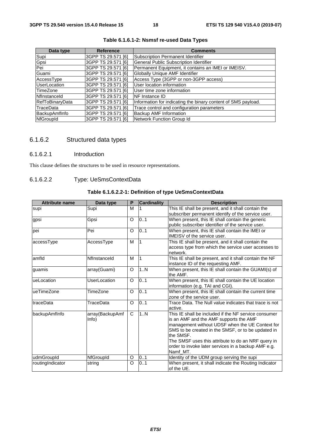| Data type              | <b>Reference</b>   | <b>Comments</b>                                               |
|------------------------|--------------------|---------------------------------------------------------------|
| Supi                   | 3GPP TS 29.571 [6] | <b>Subscription Permanent Identifier</b>                      |
| Gpsi                   | 3GPP TS 29.571 [6] | <b>General Public Subscription Identifier</b>                 |
| Pei                    | 3GPP TS 29.571 [6] | Permanent Equipment, it contains an IMEI or IMEISV.           |
| Guami                  | 3GPP TS 29.571 [6] | Globally Unique AMF Identifier                                |
| AccessType             | 3GPP TS 29.571 [6] | Access Type (3GPP or non-3GPP access)                         |
| UserLocation           | 3GPP TS 29.571 [6] | User location information                                     |
| TimeZone               | 3GPP TS 29.571 [6] | User time zone information                                    |
| Nflnstanceld           | 3GPP TS 29.571 [6] | <b>INF Instance ID</b>                                        |
| <b>RefToBinaryData</b> | 3GPP TS 29.571 [6] | Information for indicating the binary content of SMS payload. |
| TraceData              | 3GPP TS 29.571 [6] | Trace control and configuration parameters                    |
| BackupAmfInfo          | 3GPP TS 29.571 [6] | <b>Backup AMF Information</b>                                 |
| <b>NfGroupId</b>       | 3GPP TS 29.571 [6] | Network Function Group Id                                     |

#### **Table 6.1.6.1-2: Nsmsf re-used Data Types**

## 6.1.6.2 Structured data types

#### 6.1.6.2.1 Introduction

This clause defines the structures to be used in resource representations.

#### 6.1.6.2.2 Type: UeSmsContextData

#### **Table 6.1.6.2.2-1: Definition of type UeSmsContextData**

| <b>Attribute name</b>                     | Data type    | P              | <b>Cardinality</b> | <b>Description</b>                                                                                                                                                                                                                                                                                                                            |
|-------------------------------------------|--------------|----------------|--------------------|-----------------------------------------------------------------------------------------------------------------------------------------------------------------------------------------------------------------------------------------------------------------------------------------------------------------------------------------------|
| Supi<br>supi                              |              | м              |                    | This IE shall be present, and it shall contain the<br>subscriber permanent identify of the service user.                                                                                                                                                                                                                                      |
| gpsi                                      | Gpsi         | O              | 0.1                | When present, this IE shall contain the generic<br>public subscriber identifier of the service user.                                                                                                                                                                                                                                          |
| pei                                       | Pei          | $\Omega$       | 0.1                | When present, this IE shall contain the IMEI or<br>IMEISV of the service user.                                                                                                                                                                                                                                                                |
| accessType                                | AccessType   |                | Ι1                 | This IE shall be present, and it shall contain the<br>access type from which the service user accesses to<br>network.                                                                                                                                                                                                                         |
| amfld                                     | Nflnstanceld | M              |                    | This IE shall be present, and it shall contain the NF<br>instance ID of the requesting AMF.                                                                                                                                                                                                                                                   |
| guamis                                    | array(Guami) | $\circ$        | 1N                 | When present, this IE shall contain the GUAMI(s) of<br>the AMF.                                                                                                                                                                                                                                                                               |
| ueLocation                                | UserLocation | $\circ$        | 0.1                | When present, this IE shall contain the UE location<br>information (e.g. TAI and CGI).                                                                                                                                                                                                                                                        |
| lueTimeZone                               | TimeZone     |                | 0.1                | When present, this IE shall contain the current time<br>zone of the service user.                                                                                                                                                                                                                                                             |
| traceData<br>TraceData                    |              | 0.1<br>$\circ$ |                    | Trace Data. The Null value indicates that trace is not<br>active.                                                                                                                                                                                                                                                                             |
| array(BackupAmf<br>backupAmfInfo<br>Info) |              | C              | 1N                 | This IE shall be included if the NF service consumer<br>is an AMF and the AMF supports the AMF<br>management without UDSF when the UE Context for<br>SMS to be created in the SMSF, or to be updated in<br>the SMSF.<br>The SMSF uses this attribute to do an NRF query in<br>order to invoke later services in a backup AMF e.g.<br>Namf MT. |
| udmGroupId                                | NfGroupId    | O              | 0.1                | Identity of the UDM group serving the supi                                                                                                                                                                                                                                                                                                    |
| routingIndicator                          | string       | O              | 0.1                | When present, it shall indicate the Routing Indicator<br>of the UE.                                                                                                                                                                                                                                                                           |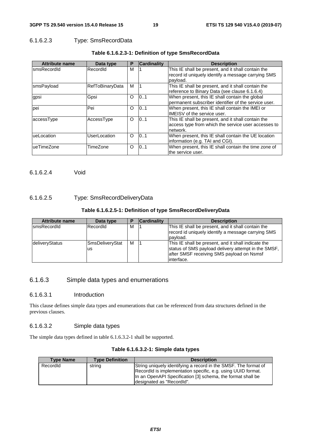#### 6.1.6.2.3 Type: SmsRecordData

| <b>Attribute name</b> | Data type              | P        | <b>Cardinality</b> | <b>Description</b>                                   |
|-----------------------|------------------------|----------|--------------------|------------------------------------------------------|
| smsRecordId           | RecordId               | М        |                    | This IE shall be present, and it shall contain the   |
|                       |                        |          |                    | record id uniquely identify a message carrying SMS   |
|                       |                        |          |                    | payload.                                             |
| smsPayload            | <b>RefToBinaryData</b> | м        |                    | This IE shall be present, and it shall contain the   |
|                       |                        |          |                    | reference to Binary Data (see clause 6.1.6.4)        |
| gpsi                  | Gpsi                   | $\Omega$ | 101                | When present, this IE shall contain the global       |
|                       |                        |          |                    | permanent subscriber identifier of the service user. |
| pei                   | Pei                    | $\Omega$ | 101                | When present, this IE shall contain the IMEI or      |
|                       |                        |          |                    | <b>IMEISV</b> of the service user.                   |
| accessType            | AccessType             | $\circ$  | 0.1                | This IE shall be present, and it shall contain the   |
|                       |                        |          |                    | access type from which the service user accesses to  |
|                       |                        |          |                    | network.                                             |
| ueLocation            | UserLocation           | $\Omega$ | 101                | When present, this IE shall contain the UE location  |
|                       |                        |          |                    | information (e.g. TAI and CGI).                      |
| ueTimeZone            | TimeZone               | O        | 101                | When present, this IE shall contain the time zone of |
|                       |                        |          |                    | the service user.                                    |

#### **Table 6.1.6.2.3-1: Definition of type SmsRecordData**

6.1.6.2.4 Void

#### 6.1.6.2.5 Type: SmsRecordDeliveryData

#### **Table 6.1.6.2.5-1: Definition of type SmsRecordDeliveryData**

| <b>Attribute name</b> | Data type             |   | <b>Cardinality</b> | <b>Description</b>                                                                                                                                                     |
|-----------------------|-----------------------|---|--------------------|------------------------------------------------------------------------------------------------------------------------------------------------------------------------|
| <b>IsmsRecordId</b>   | RecordId              | M |                    | This IE shall be present, and it shall contain the<br>record id uniquely identify a message carrying SMS<br>payload.                                                   |
| deliveryStatus        | SmsDeliveryStat<br>us | м |                    | This IE shall be present, and it shall indicate the<br>status of SMS payload delivery attempt in the SMSF,<br>after SMSF receiving SMS payload on Nsmsf<br>linterface. |

### 6.1.6.3 Simple data types and enumerations

#### 6.1.6.3.1 Introduction

This clause defines simple data types and enumerations that can be referenced from data structures defined in the previous clauses.

#### 6.1.6.3.2 Simple data types

The simple data types defined in table 6.1.6.3.2-1 shall be supported.

| <b>Type Name</b> | <b>Type Definition</b> | <b>Description</b>                                              |
|------------------|------------------------|-----------------------------------------------------------------|
| Recordid         | string                 | String uniquely identifying a record in the SMSF. The format of |
|                  |                        | RecordId is implementation specific, e.g. using UUID format.    |
|                  |                        | In an OpenAPI Specification [3] schema, the format shall be     |
|                  |                        | designated as "RecordId".                                       |

#### **Table 6.1.6.3.2-1: Simple data types**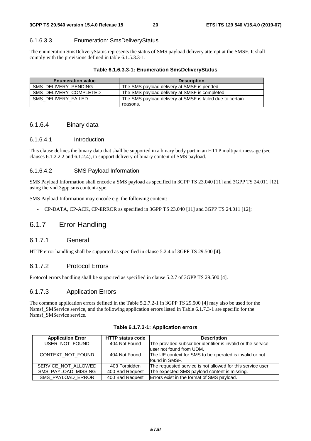#### 6.1.6.3.3 Enumeration: SmsDeliveryStatus

The enumeration SmsDeliveryStatus represents the status of SMS payload delivery attempt at the SMSF. It shall comply with the previsions defined in table 6.1.5.3.3-1.

#### **Table 6.1.6.3.3-1: Enumeration SmsDeliveryStatus**

| <b>Enumeration value</b> | <b>Description</b>                                        |
|--------------------------|-----------------------------------------------------------|
| SMS DELIVERY PENDING     | The SMS payload delivery at SMSF is pended.               |
| SMS DELIVERY COMPLETED   | The SMS payload delivery at SMSF is completed.            |
| SMS DELIVERY FAILED      | The SMS payload delivery at SMSF is failed due to certain |
|                          | reasons.                                                  |

#### 6.1.6.4 Binary data

#### 6.1.6.4.1 Introduction

This clause defines the binary data that shall be supported in a binary body part in an HTTP multipart message (see clauses 6.1.2.2.2 and 6.1.2.4), to support delivery of binary content of SMS payload.

#### 6.1.6.4.2 SMS Payload Information

SMS Payload Information shall encode a SMS payload as specified in 3GPP TS 23.040 [11] and 3GPP TS 24.011 [12], using the vnd.3gpp.sms content-type.

SMS Payload Information may encode e.g. the following content:

- CP-DATA, CP-ACK, CP-ERROR as specified in 3GPP TS 23.040 [11] and 3GPP TS 24.011 [12];

### 6.1.7 Error Handling

#### 6.1.7.1 General

HTTP error handling shall be supported as specified in clause 5.2.4 of 3GPP TS 29.500 [4].

#### 6.1.7.2 Protocol Errors

Protocol errors handling shall be supported as specified in clause 5.2.7 of 3GPP TS 29.500 [4].

#### 6.1.7.3 Application Errors

The common application errors defined in the Table 5.2.7.2-1 in 3GPP TS 29.500 [4] may also be used for the Nsmsf\_SMService service, and the following application errors listed in Table 6.1.7.3-1 are specific for the Nsmsf\_SMService service.

| <b>Application Error</b> | <b>HTTP status code</b> | <b>Description</b>                                           |
|--------------------------|-------------------------|--------------------------------------------------------------|
| USER_NOT_FOUND           | 404 Not Found           | The provided subscriber identifier is invalid or the service |
|                          |                         | luser not found from UDM.                                    |
| CONTEXT NOT FOUND        | 404 Not Found           | The UE context for SMS to be operated is invalid or not      |
|                          |                         | found in SMSF.                                               |
| SERVICE NOT ALLOWED      | 403 Forbidden           | The requested service is not allowed for this service user.  |
| SMS_PAYLOAD_MISSING      | 400 Bad Request         | The expected SMS payload content is missing.                 |
| SMS_PAYLOAD_ERROR        | 400 Bad Request         | Errors exist in the format of SMS payload.                   |

**Table 6.1.7.3-1: Application errors**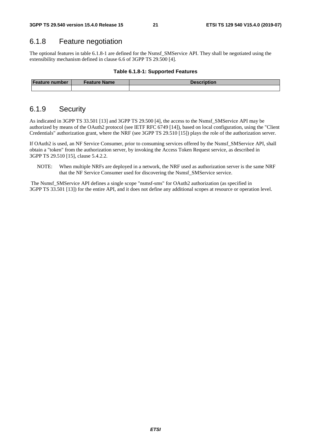### 6.1.8 Feature negotiation

The optional features in table 6.1.8-1 are defined for the Nsmsf\_SMService API. They shall be negotiated using the extensibility mechanism defined in clause 6.6 of 3GPP TS 29.500 [4].

#### **Table 6.1.8-1: Supported Features**

| <b>Feature number</b> | Feature Name | <b>Description</b> |
|-----------------------|--------------|--------------------|
|                       |              |                    |

### 6.1.9 Security

As indicated in 3GPP TS 33.501 [13] and 3GPP TS 29.500 [4], the access to the Nsmsf\_SMService API may be authorized by means of the OAuth2 protocol (see IETF RFC 6749 [14]), based on local configuration, using the "Client Credentials" authorization grant, where the NRF (see 3GPP TS 29.510 [15]) plays the role of the authorization server.

If OAuth2 is used, an NF Service Consumer, prior to consuming services offered by the Nsmsf\_SMService API, shall obtain a "token" from the authorization server, by invoking the Access Token Request service, as described in 3GPP TS 29.510 [15], clause 5.4.2.2.

NOTE: When multiple NRFs are deployed in a network, the NRF used as authorization server is the same NRF that the NF Service Consumer used for discovering the Nsmsf\_SMService service.

 The Nsmsf\_SMService API defines a single scope "nsmsf-sms" for OAuth2 authorization (as specified in 3GPP TS 33.501 [13]) for the entire API, and it does not define any additional scopes at resource or operation level.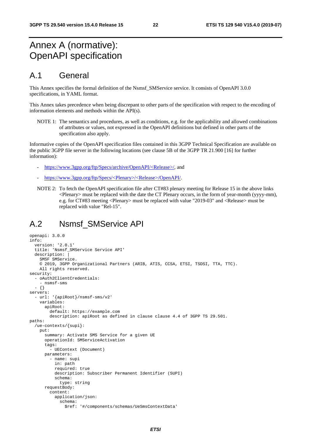## Annex A (normative): OpenAPI specification

### A.1 General

This Annex specifies the formal definition of the Nsmsf\_SMService service. It consists of OpenAPI 3.0.0 specifications, in YAML format.

This Annex takes precedence when being discrepant to other parts of the specification with respect to the encoding of information elements and methods within the API(s).

NOTE 1: The semantics and procedures, as well as conditions, e.g. for the applicability and allowed combinations of attributes or values, not expressed in the OpenAPI definitions but defined in other parts of the specification also apply.

Informative copies of the OpenAPI specification files contained in this 3GPP Technical Specification are available on the public 3GPP file server in the following locations (see clause 5B of the 3GPP TR 21.900 [16] for further information):

- [https://www.3gpp.org/ftp/Specs/archive/OpenAPI/<Release>/](https://www.3gpp.org/ftp/Specs/archive/OpenAPI/%3cRelease%3e/), and
- [https://www.3gpp.org/ftp/Specs/<Plenary>/<Release>/OpenAPI/.](https://www.3gpp.org/ftp/Specs/%3cPlenary%3e/%3cRelease%3e/OpenAPI/)
- NOTE 2: To fetch the OpenAPI specification file after CT#83 plenary meeting for Release 15 in the above links  $\leq$ Plenary must be replaced with the date the CT Plenary occurs, in the form of year-month (yyyy-mm), e.g. for CT#83 meeting <Plenary> must be replaced with value "2019-03" and <Release> must be replaced with value "Rel-15".

### A.2 Nsmsf\_SMService API

```
openapi: 3.0.0 
info: 
   version: '2.0.1' 
   title: 'Nsmsf_SMService Service API' 
   description: | 
     SMSF SMService. 
     © 2019, 3GPP Organizational Partners (ARIB, ATIS, CCSA, ETSI, TSDSI, TTA, TTC). 
     All rights reserved. 
security: 
   - oAuth2ClientCredentials: 
     - nsmsf-sms 
   - {} 
servers: 
   - url: '{apiRoot}/nsmsf-sms/v2' 
     variables: 
       apiRoot: 
         default: https://example.com 
         description: apiRoot as defined in clause clause 4.4 of 3GPP TS 29.501. 
paths: 
   /ue-contexts/{supi}: 
     put: 
       summary: Activate SMS Service for a given UE 
       operationId: SMServiceActivation 
      tags:
          - UEContext (Document) 
       parameters: 
          - name: supi 
            in: path 
            required: true 
            description: Subscriber Permanent Identifier (SUPI) 
            schema: 
              type: string 
       requestBody: 
          content: 
            application/json: 
              schema: 
                $ref: '#/components/schemas/UeSmsContextData'
```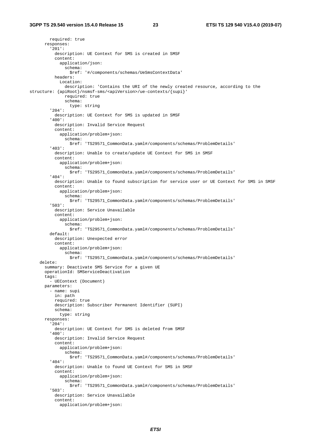required: true responses: '201': description: UE Context for SMS is created in SMSF content: application/json: schema: \$ref: '#/components/schemas/UeSmsContextData' headers: Location: description: 'Contains the URI of the newly created resource, according to the structure: {apiRoot}/nsmsf-sms/<apiVersion>/ue-contexts/{supi}' required: true schema: type: string '204': description: UE Context for SMS is updated in SMSF '400': description: Invalid Service Request content: application/problem+json: schema: \$ref: 'TS29571\_CommonData.yaml#/components/schemas/ProblemDetails' '403': description: Unable to create/update UE Context for SMS in SMSF content: application/problem+json: schema: \$ref: 'TS29571\_CommonData.yaml#/components/schemas/ProblemDetails' '404': description: Unable to found subscription for service user or UE Context for SMS in SMSF content: application/problem+json: schema: \$ref: 'TS29571\_CommonData.yaml#/components/schemas/ProblemDetails' '503': description: Service Unavailable content: application/problem+json: schema: \$ref: 'TS29571\_CommonData.yaml#/components/schemas/ProblemDetails' default: description: Unexpected error content: application/problem+json: schema: \$ref: 'TS29571\_CommonData.yaml#/components/schemas/ProblemDetails' delete: summary: Deactivate SMS Service for a given UE operationId: SMServiceDeactivation tags: - UEContext (Document) parameters: - name: supi in: path required: true description: Subscriber Permanent Identifier (SUPI) schema: type: string responses: '204': description: UE Context for SMS is deleted from SMSF '400': description: Invalid Service Request content: application/problem+json: schema: \$ref: 'TS29571\_CommonData.yaml#/components/schemas/ProblemDetails' '404': description: Unable to found UE Context for SMS in SMSF content: application/problem+json: schema: \$ref: 'TS29571\_CommonData.yaml#/components/schemas/ProblemDetails' '503': description: Service Unavailable content: application/problem+json: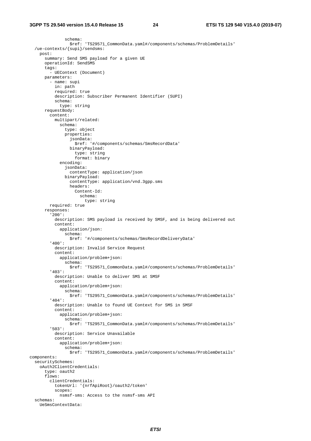```
 schema: 
                  $ref: 'TS29571_CommonData.yaml#/components/schemas/ProblemDetails' 
   /ue-contexts/{supi}/sendsms: 
     post: 
       summary: Send SMS payload for a given UE 
       operationId: SendSMS 
       tags: 
         - UEContext (Document) 
       parameters: 
         - name: supi 
           in: path 
           required: true 
           description: Subscriber Permanent Identifier (SUPI) 
            schema: 
             type: string 
       requestBody: 
         content: 
           multipart/related: 
              schema: 
                type: object 
                properties: 
                  jsonData: 
                     $ref: '#/components/schemas/SmsRecordData' 
                  binaryPayload: 
                    type: string 
                     format: binary 
              encoding: 
                jsonData: 
                  contentType: application/json 
                binaryPayload: 
                  contentType: application/vnd.3gpp.sms 
                  headers: 
                    Content-Id: 
                      schema: 
                         type: string 
         required: true 
       responses: 
          '200': 
           description: SMS payload is received by SMSF, and is being delivered out 
            content: 
              application/json: 
                schema: 
                  $ref: '#/components/schemas/SmsRecordDeliveryData' 
          '400': 
           description: Invalid Service Request 
            content: 
              application/problem+json: 
                schema: 
                  $ref: 'TS29571_CommonData.yaml#/components/schemas/ProblemDetails' 
          '403': 
           description: Unable to deliver SMS at SMSF 
            content: 
              application/problem+json: 
                schema: 
                  $ref: 'TS29571_CommonData.yaml#/components/schemas/ProblemDetails' 
          '404': 
           description: Unable to found UE Context for SMS in SMSF 
            content: 
              application/problem+json: 
                schema: 
                  $ref: 'TS29571_CommonData.yaml#/components/schemas/ProblemDetails' 
          '503': 
           description: Service Unavailable 
            content: 
              application/problem+json: 
                schema: 
                  $ref: 'TS29571_CommonData.yaml#/components/schemas/ProblemDetails' 
components: 
   securitySchemes: 
     oAuth2ClientCredentials: 
       type: oauth2 
       flows: 
         clientCredentials: 
           tokenUrl: '{nrfApiRoot}/oauth2/token' 
            scopes: 
              nsmsf-sms: Access to the nsmsf-sms API 
   schemas: 
     UeSmsContextData:
```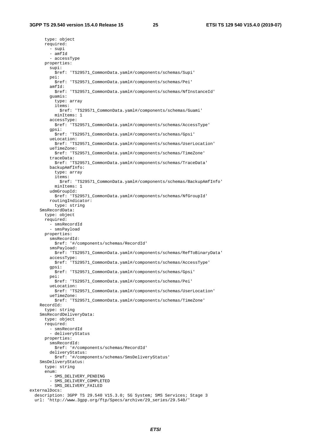type: object required: - supi - amfId - accessType properties: supi: \$ref: 'TS29571\_CommonData.yaml#/components/schemas/Supi' pei: \$ref: 'TS29571\_CommonData.yaml#/components/schemas/Pei' amfId: \$ref: 'TS29571\_CommonData.yaml#/components/schemas/NfInstanceId' guamis: type: array items: \$ref: 'TS29571\_CommonData.yaml#/components/schemas/Guami' minItems: 1 accessType: \$ref: 'TS29571\_CommonData.yaml#/components/schemas/AccessType' gpsi: \$ref: 'TS29571\_CommonData.yaml#/components/schemas/Gpsi' ueLocation: \$ref: 'TS29571\_CommonData.yaml#/components/schemas/UserLocation' ueTimeZone: \$ref: 'TS29571\_CommonData.yaml#/components/schemas/TimeZone' traceData: \$ref: 'TS29571\_CommonData.yaml#/components/schemas/TraceData' backupAmfInfo: type: array items: \$ref: 'TS29571\_CommonData.yaml#/components/schemas/BackupAmfInfo' minItems: 1 udmGroupId: \$ref: 'TS29571\_CommonData.yaml#/components/schemas/NfGroupId' routingIndicator: type: string SmsRecordData: type: object required: - smsRecordId - smsPayload properties: smsRecordId: \$ref: '#/components/schemas/RecordId' smsPayload: \$ref: 'TS29571\_CommonData.yaml#/components/schemas/RefToBinaryData' accessType: \$ref: 'TS29571\_CommonData.yaml#/components/schemas/AccessType' gpsi: \$ref: 'TS29571\_CommonData.yaml#/components/schemas/Gpsi' pei: \$ref: 'TS29571\_CommonData.yaml#/components/schemas/Pei' ueLocation: \$ref: 'TS29571\_CommonData.yaml#/components/schemas/UserLocation' ueTimeZone: \$ref: 'TS29571\_CommonData.yaml#/components/schemas/TimeZone' RecordId: type: string SmsRecordDeliveryData: type: object required: - smsRecordId - deliveryStatus properties: smsRecordId: \$ref: '#/components/schemas/RecordId' deliveryStatus: \$ref: '#/components/schemas/SmsDeliveryStatus' SmsDeliveryStatus: type: string enum: - SMS\_DELIVERY\_PENDING - SMS\_DELIVERY\_COMPLETED - SMS\_DELIVERY\_FAILED externalDocs: description: 3GPP TS 29.540 V15.3.0; 5G System; SMS Services; Stage 3 url: 'http://www.3gpp.org/ftp/Specs/archive/29\_series/29.540/'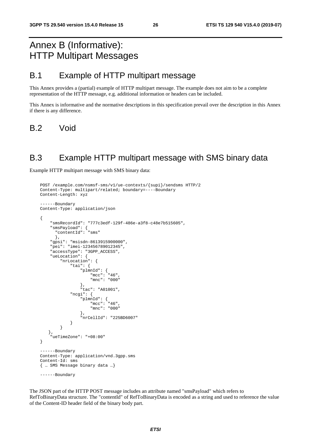## Annex B (Informative): HTTP Multipart Messages

## B.1 Example of HTTP multipart message

This Annex provides a (partial) example of HTTP multipart message. The example does not aim to be a complete representation of the HTTP message, e.g. additional information or headers can be included.

This Annex is informative and the normative descriptions in this specification prevail over the description in this Annex if there is any difference.

B.2 Void

### B.3 Example HTTP multipart message with SMS binary data

Example HTTP multipart message with SMS binary data:

```
POST /example.com/nsmsf-sms/v1/ue-contexts/{supi}/sendsms HTTP/2 
Content-Type: multipart/related; boundary=----Boundary 
Content-Length: xyz 
------Boundary 
Content-Type: application/json 
{ 
     "smsRecordId": "777c3edf-129f-486e-a3f8-c48e7b515605", 
 "smsPayload": { 
 "contentId": "sms" 
      }, 
     "gpsi": "msisdn-8613915900000", 
     "pei": "imei-123456789012345", 
     "accessType": "3GPP_ACCESS", 
     "ueLocation": { 
         "nrLocation": { 
            "tai": { 
 "plmnId": { 
 "mcc": "46", 
                    "mnc": "000" 
 }, 
 "tac": "A01001", 
             "ncgi": { 
                "plmnId": { 
                    "mcc": "46", 
                    "mnc": "000" 
                }, 
            "nrCellId": "225BD6007" 
 } 
         } 
   }, 
     "ueTimeZone": "+08:00" 
} 
------Boundary 
Content-Type: application/vnd.3gpp.sms 
Content-Id: sms 
{ … SMS Message binary data …}
------Boundary
```
The JSON part of the HTTP POST message includes an attribute named "smsPayload" which refers to RefToBinaryData structure. The "contentId" of RefToBinaryData is encoded as a string and used to reference the value of the Content-ID header field of the binary body part.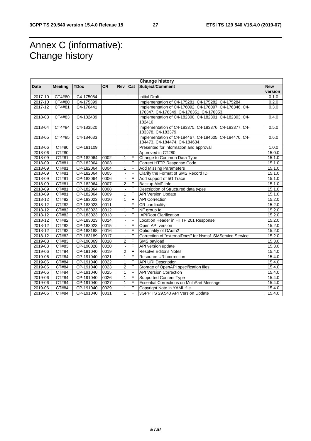## Annex C (informative): Change history

| <b>Change history</b> |                |             |      |                |                  |                                                                                                    |                       |
|-----------------------|----------------|-------------|------|----------------|------------------|----------------------------------------------------------------------------------------------------|-----------------------|
| Date                  | <b>Meeting</b> | <b>TDoc</b> | CR   | Rev            | $\overline{Cat}$ | Subject/Comment                                                                                    | <b>New</b><br>version |
| 2017-10               | CT4#80         | C4-175084   |      |                |                  | Initial Draft.                                                                                     | 0.1.0                 |
| 2017-10               | CT4#80         | C4-175399   |      |                |                  | Implementation of C4-175281, C4-175282, C4-175284.                                                 | 0.2.0                 |
| 2017-12               | CT4#81         | C4-176441   |      |                |                  | Implementation of C4-176092, C4-176097, C4-176346, C4-<br>176347, C4-176349, C4-176351, C4-176353. | 0.3.0                 |
| 2018-03               | CT4#83         | C4-182439   |      |                |                  | Implementation of C4-182300, C4-182301, C4-182303, C4-<br>182416                                   | 0.4.0                 |
| 2018-04               | CT4#84         | C4-183520   |      |                |                  | Implementation of C4-183375, C4-183376, C4-183377, C4-<br>183378, C4-183379.                       | 0.5.0                 |
| 2018-05               | CT4#85         | C4-184633   |      |                |                  | Implementation of C4-184467, C4-184605, C4-184470, C4-<br>184473, C4-184474, C4-184634.            | 0.6.0                 |
| 2018-06               | CT#80          | CP-181109   |      |                |                  | Presented for information and approval                                                             | 1.0.0                 |
| 2018-06               | CT#80          |             |      |                |                  | Approved in CT#80.                                                                                 | 15.0.0                |
| 2018-09               | CT#81          | CP-182064   | 0002 | 1              | F                | Change to Common Data Type                                                                         | 15.1.0                |
| 2018-09               | CT#81          | CP-182064   | 0003 | $\mathbf{1}$   | F                | Correct HTTP Response Code                                                                         | 15.1.0                |
| 2018-09               | CT#81          | CP-182064   | 0004 | $\overline{1}$ | $\overline{F}$   | <b>Add Missing Parameters</b>                                                                      | 15.1.0                |
| 2018-09               | CT#81          | CP-182064   | 0005 |                | F                | Clarify the Format of SMS Record ID                                                                | 15.1.0                |
| 2018-09               | CT#81          | CP-182064   | 0006 |                | F                | Add support of 5G Trace                                                                            | 15.1.0                |
| 2018-09               | CT#81          | CP-182064   | 0007 | $\overline{2}$ | $\overline{F}$   | Backup AMF Info                                                                                    | 15.1.0                |
| 2018-09               | CT#81          | CP-182064   | 0008 |                | F                | Description of Structured data types                                                               | 15.1.0                |
| 2018-09               | CT#81          | CP-182064   | 0009 | $\mathbf{1}$   | $\overline{F}$   | <b>API Version Update</b>                                                                          | 15.1.0                |
| 2018-12               | <b>CT#82</b>   | CP-183023   | 0010 | 1              | $\overline{F}$   | <b>API Correction</b>                                                                              | 15.2.0                |
| 2018-12               | CT#82          | CP-183023   | 0011 |                | F                | CR cardinality                                                                                     | 15.2.0                |
| 2018-12               | CT#82          | CP-183023   | 0012 | 1              | F                | NF group Id                                                                                        | 15.2.0                |
| 2018-12               | CT#82          | CP-183023   | 0013 |                | F                | <b>APIRoot Clarification</b>                                                                       | 15.2.0                |
| 2018-12               | CT#82          | CP-183023   | 0014 |                | $\overline{F}$   | Location Header in HTTP 201 Response                                                               | 15.2.0                |
| 2018-12               | CT#82          | CP-183023   | 0015 |                | F                | Open API version                                                                                   | 15.2.0                |
| 2018-12               | CT#82          | CP-183188   | 0016 |                | F                | Optionality of OAuth2                                                                              | 15.2.0                |
| 2018-12               | CT#82          | CP-183189   | 0017 |                | F                | Correction of "externalDocs" for Nsmsf SMService Service                                           | 15.2.0                |
| 2019-03               | CT#83          | CP-190069   | 0018 | $\overline{2}$ | F                | SMS payload                                                                                        | 15.3.0                |
| 2019-03               | CT#83          | CP-190028   | 0020 |                | $\overline{F}$   | API version update                                                                                 | 15.3.0                |
| 2019-06               | CT#84          | CP-191040   | 0019 | $\overline{c}$ | F                | <b>Resolve Editor's Notes</b>                                                                      | 15.4.0                |
| 2019-06               | CT#84          | CP-191040   | 0021 | $\mathbf{1}$   | F                | Resource URI correction                                                                            | 15.4.0                |
| 2019-06               | CT#84          | CP-191040   | 0022 | $\mathbf{1}$   | F                | <b>API URI Description</b>                                                                         | 15.4.0                |
| 2019-06               | CT#84          | CP-191040   | 0023 | $\overline{2}$ | $\overline{F}$   | Storage of OpenAPI specification files                                                             | 15.4.0                |
| 2019-06               | CT#84          | CP-191040   | 0025 | $\mathbf{1}$   | E                | <b>API Version Correction</b>                                                                      | 15.4.0                |
| 2019-06               | CT#84          | CP-191040   | 0026 | $\mathbf{1}$   | F                | <b>Supported Content Type</b>                                                                      | 15.4.0                |
| 2019-06               | CT#84          | CP-191040   | 0027 | 1              | F                | <b>Essential Corrections on MultiPart Message</b>                                                  | 15.4.0                |
| 2019-06               | CT#84          | CP-191040   | 0029 | 1              | F                | Copyright Note in YAML file                                                                        | 15.4.0                |
| 2019-06               | CT#84          | CP-191040   | 0031 | $\mathbf{1}$   | F                | 3GPP TS 29.540 API Version Update                                                                  | 15.4.0                |